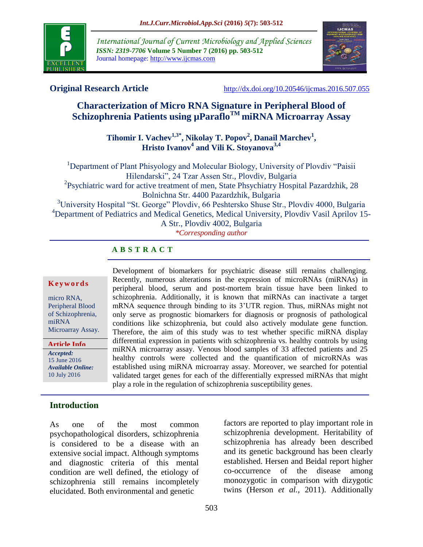

*International Journal of Current Microbiology and Applied Sciences ISSN: 2319-7706* **Volume 5 Number 7 (2016) pp. 503-512** Journal homepage: http://www.ijcmas.com



**Original Research Article** <http://dx.doi.org/10.20546/ijcmas.2016.507.055>

# **Characterization of Micro RNA Signature in Peripheral Blood of Schizophrenia Patients using µParafloTM miRNA Microarray Assay**

## **Tihomir I. Vachev1,3\* , Nikolay T. Popov<sup>2</sup> , Danail Marchev<sup>1</sup> , Hristo Ivanov<sup>4</sup> and Vili K. Stoyanova3,4**

<sup>1</sup>Department of Plant Phisyology and Molecular Biology, University of Plovdiv "Paisii Hilendarski", 24 Tzar Assen Str., Plovdiv, Bulgaria <sup>2</sup>Psychiatric ward for active treatment of men, State Phsychiatry Hospital Pazardzhik, 28 Bolnichna Str. 4400 Pazardzhik, Bulgaria <sup>3</sup>University Hospital "St. George" Plovdiv, 66 Peshtersko Shuse Str., Plovdiv 4000, Bulgaria <sup>4</sup>Department of Pediatrics and Medical Genetics, Medical University, Plovdiv Vasil Aprilov 15-A Str., Plovdiv 4002, Bulgaria *\*Corresponding author*

> Development of biomarkers for psychiatric disease still remains challenging. Recently, numerous alterations in the expression of microRNAs (miRNAs) in peripheral blood, serum and post-mortem brain tissue have been linked to schizophrenia. Additionally, it is known that miRNAs can inactivate a target mRNA sequence through binding to its 3'UTR region. Thus, miRNAs might not only serve as prognostic biomarkers for diagnosis or prognosis of pathological conditions like schizophrenia, but could also actively modulate gene function. Therefore, the aim of this study was to test whether specific miRNA display differential expression in patients with schizophrenia vs. healthy controls by using miRNA microarray assay. Venous blood samples of 33 affected patients and 25 healthy controls were collected and the quantification of microRNAs was established using miRNA microarray assay. Moreover, we searched for potential validated target genes for each of the differentially expressed miRNAs that might

### **A B S T R A C T**

#### **K e y w o r d s**

micro RNA, Peripheral Blood of Schizophrenia, miRNA Microarray Assay.

*Accepted:*  15 June 2016 *Available Online:* 10 July 2016 **Article Info**

## **Introduction**

As one of the most common psychopathological disorders, schizophrenia is considered to be a disease with an extensive social impact. Although symptoms and diagnostic criteria of this mental condition are well defined, the etiology of schizophrenia still remains incompletely elucidated. Both environmental and genetic

factors are reported to play important role in schizophrenia development. Heritability of schizophrenia has already been described and its genetic background has been clearly established. Hersen and Beidal report higher co-occurrence of the disease among monozygotic in comparison with dizygotic twins (Herson *et al.,* 2011). Additionally

play a role in the regulation of schizophrenia susceptibility genes.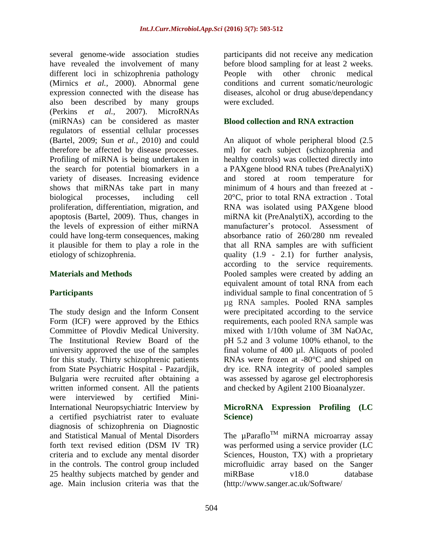several genome-wide association studies have revealed the involvement of many different loci in schizophrenia pathology (Mirnics *et al.,* 2000). Abnormal gene expression connected with the disease has also been described by many groups (Perkins *et al.,* 2007). MicroRNAs (miRNAs) can be considered as master regulators of essential cellular processes (Bartel, 2009; Sun *et al.,* 2010) and could therefore be affected by disease processes. Profiling of miRNA is being undertaken in the search for potential biomarkers in a variety of diseases. Increasing evidence shows that miRNAs take part in many biological processes, including cell proliferation, differentiation, migration, and apoptosis (Bartel, 2009). Thus, changes in the levels of expression of either miRNA could have long-term consequences, making it plausible for them to play a role in the etiology of schizophrenia.

#### **Materials and Methods**

### **Participants**

The study design and the Inform Consent Form (ICF) were approved by the Ethics Committee of Plovdiv Medical University. The Institutional Review Board of the university approved the use of the samples for this study. Thirty schizophrenic patients from State Psychiatric Hospital - Pazardjik, Bulgaria were recruited аfter obtaining a written informed consent. All the patients were interviewed by certified Mini-International Neuropsychiatric Interview by a certified psychiatrist rater to evaluate diagnosis of schizophrenia on Diagnostic and Statistical Manual of Mental Disorders forth text revised edition (DSM IV TR) criteria and to exclude any mental disorder in the controls. The control group included 25 healthy subjects matched by gender and age. Main inclusion criteria was that the

participants did not receive any medication before blood sampling for at least 2 weeks. People with other chronic medical conditions and current somatic/neurologic diseases, alcohol or drug abuse/dependancy were excluded.

#### **Blood collection and RNA extraction**

An aliquot of whole peripheral blood (2.5 ml) for each subject (schizophrenia and healthy controls) was collected directly into a PAXgene blood RNA tubes (PreAnalytiX) and stored at room temperature for minimum of 4 hours and than freezed at - 20°C, prior to total RNA extraction . Total RNA was isolated using PAXgene blood miRNA kit (PreAnalytiX), according to the manufacturer's protocol. Assessment of absorbance ratio of 260/280 nm revealed that all RNA samples are with sufficient quality (1.9 - 2.1) for further analysis, according to the service requirements. Pooled samples were created by adding an equivalent amount of total RNA from each individual sample to final concentration of 5 µg RNA samples*.* Pooled RNA samples were precipitated according to the service requirements, each pooled RNA sample was mixed with 1/10th volume of 3M NaOAc, pH 5.2 and 3 volume 100% ethanol*,* tо the final volume of 400 µl. Aliquots of pooled RNAs were frozen at -80°C and shiped on dry ice. RNA integrity of pooled samples was assessed by agarose gel electrophoresis and checked by Agilent 2100 Bioanalyzer.

#### **MicroRNA Expression Profiling (LC Science)**

The  $\mu$ Paraflo<sup>TM</sup> miRNA microarray assay was performed using a service provider (LC Sciences, Houston, TX) with a proprietary microfluidic array based on the Sanger miRBase v18.0 database [\(http://www.sanger.ac.uk/Software/](http://www.sanger.ac.uk/Software/%20Rfam/mirna)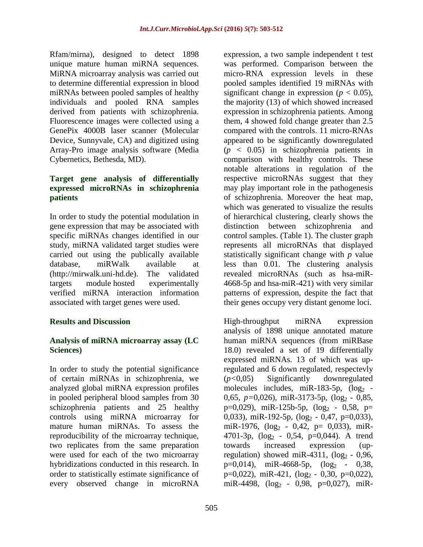Rfam/mirna), designed to detect 1898 unique mature human miRNA sequences. MiRNA microarray analysis was carried out to determine differential expression in blood miRNAs between pooled samples of healthy individuals and pooled RNA samples derived from patients with schizophrenia. Fluorescence images were collected using a GenePix 4000B laser scanner (Molecular Device, Sunnyvale, CA) and digitized using Array-Pro image analysis software (Media Cybernetics, Bethesda, MD).

### **Target gene analysis of differentially expressed microRNAs in schizophrenia patients**

In order to study the potential modulation in gene expression that may be associated with specific miRNAs changes identified in our study, miRNA validated target studies were carried out using the publically available database, miRWalk available at [\(http://mirwalk.uni-hd.de\)](http://mirwalk.uni-hd.de/). The validated targets module hosted experimentally verified miRNA interaction information associated with target genes were used.

### **Results and Discussion**

### **Analysis of miRNA microarray assay (LC Sciences)**

In order to study the potential significance of certain miRNAs in schizophrenia, we analyzed global miRNA expression profiles in pooled peripheral blood samples from 30 schizophrenia patients and 25 healthy controls using miRNA microarray for mature human miRNAs. To assess the reproducibility of the microarray technique, two replicates from the same preparation were used for each of the two microarray hybridizations conducted in this research. In order to statistically estimate significance of every observed change in microRNA

expression, a two sample independent t test was performed. Comparison between the micro-RNA expression levels in these pooled samples identified 19 miRNAs with significant change in expression ( $p < 0.05$ ), the majority (13) of which showed increased expression in schizophrenia patients. Among them, 4 showed fold change greater than 2.5 compared with the controls. 11 micro-RNAs appeared to be significantly downregulated (*p* < 0.05) in schizophrenia patients in comparison with healthy controls. These notable alterations in regulation of the respective microRNAs suggest that they may play important role in the pathogenesis of schizophrenia. Moreover the heat map, which was generated to visualize the results of hierarchical clustering, clearly shows the distinction between schizophrenia and control samples. (Table 1). The cluster graph represents all microRNAs that displayed statistically significant change with *p* value less than 0.01. The clustering analysis revealed microRNAs (such as hsa-miR-4668-5p and hsa-miR-421) with very similar patterns of expression, despite the fact that their genes occupy very distant genome loci.

High-throughput miRNA expression analysis of 1898 unique annotated mature human miRNA sequences (from miRBase 18.0) revealed a set of 19 differentially expressed miRNAs. 13 of which was upregulated and 6 down regulated, respectevly (*p<*0,05) Significantly downregulated molecules includes, miR-183-5p,  $(\log_2 -$ 0,65, *p*=0,026), miR-3173-5p, (log<sub>2</sub> - 0,85, p=0,029), miR-125b-5p,  $(\log_2 - 0.58, p=$ 0,033), miR-192-5p,  $(\log_2 - 0.47, p=0.033)$ , miR-1976,  $(\log_2 - 0.42, p = 0.033)$ , miR-4701-3p,  $(\log_2 - 0.54, p=0.044)$ . A trend towards increased expression (upregulation) showed miR-4311,  $(\log_2 - 0.96)$ , p=0,014), miR-4668-5p,  $(\log_2 - 0.38,$  $p=0,022$ ), miR-421, (log<sub>2</sub> - 0,30, p=0,022), miR-4498,  $(log_2 - 0.98, p=0.027)$ , miR-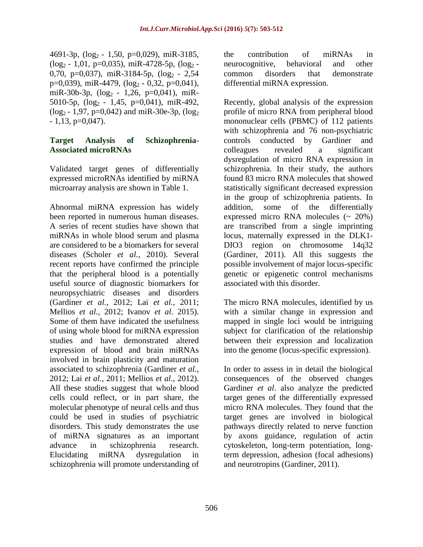4691-3p,  $(log_2 - 1,50, p=0,029)$ , miR-3185,  $(log_2 - 1.01, p=0.035)$ , miR-4728-5p,  $(log_2 -$ 0,70, p=0,037), miR-3184-5p,  $(log_2 - 2.54$ p=0,039), miR-4479,  $(log_2 - 0.32, p=0.041$ ), miR-30b-3p,  $(\log_2 - 1, 26, p=0, 041)$ , miR-5010-5p,  $(log_2 - 1,45, p=0,041)$ , miR-492,  $(log_2 - 1.97, p=0.042)$  and miR-30e-3p,  $(log_2)$  $-1,13, p=0,047$ ).

#### **Target Analysis of Schizophrenia-Associated microRNAs**

Validated target genes of differentially expressed microRNAs identified by miRNA microarray analysis are shown in Table 1.

Abnormal miRNA expression has widely been reported in numerous human diseases. A series of recent studies have shown that miRNAs in whole blood serum and plasma are considered to be a biomarkers for several diseases (Scholer *et al.,* 2010). Several recent reports have confirmed the principle that the peripheral blood is a potentially useful source of diagnostic biomarkers for neuropsychiatric diseases and disorders (Gardiner *et al.,* 2012; Lai *et al.,* 2011; Mellios *et al.,* 2012; Ivanov *et al*. 2015). Some of them have indicated the usefulness of using whole blood for miRNA expression studies and have demonstrated altered expression of blood and brain miRNAs involved in brain plasticity and maturation associated to schizophrenia (Gardiner *et al.,* 2012; Lai *et al.,* 2011; Mellios *et al.,* 2012). All these studies suggest that whole blood cells could reflect, or in part share, the molecular phenotype of neural cells and thus could be used in studies of psychiatric disorders. This study demonstrates the use of miRNA signatures as an important advance in schizophrenia research. Elucidating miRNA dysregulation in schizophrenia will promote understanding of

the contribution of miRNAs in neurocognitive, behavioral and other common disorders that demonstrate differential miRNA expression.

Recently, global analysis of the expression profile of micro RNA from peripheral blood mononuclear cells (PBMC) of 112 patients with schizophrenia and 76 non-psychiatric controls conducted by Gardiner and colleagues revealed a significant dysregulation of micro RNA expression in schizophrenia. In their study, the authors found 83 micro RNA molecules that showed statistically significant decreased expression in the group of schizophrenia patients. In addition, some of the differentially expressed micro RNA molecules  $(20\%)$ are transcribed from a single imprinting locus, maternally expressed in the DLK1- DIO3 region on chromosome 14q32 (Gardiner, 2011). All this suggests the possible involvement of major locus-specific genetic or epigenetic control mechanisms associated with this disorder.

The micro RNA molecules, identified by us with a similar change in expression and mapped in single loci would be intriguing subject for clarification of the relationship between their expression and localization into the genome (locus-specific expression).

In order to assess in in detail the biological consequences of the observed changes Gardiner *et al*. also analyze the predicted target genes of the differentially expressed micro RNA molecules. They found that the target genes are involved in biological pathways directly related to nerve function by axons guidance, regulation of actin cytoskeleton, long-term potentiation, longterm depression, adhesion (focal adhesions) and neurotropins (Gardiner, 2011).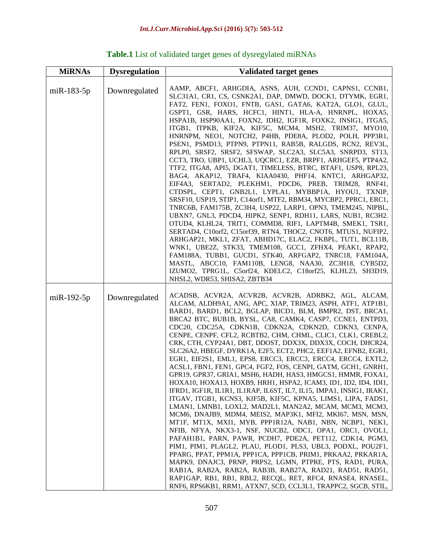| <b>MiRNAs</b>    | <b>Dysregulation</b> | <b>Validated target genes</b>                                                                                                                                                                                                                                                                                                                                                                                                                                                                                                                                                                                                                                                                                                                                                                                                                                                                                                                                                                                                                                                                                                                                                                                                                                                                                                                                                                                                                                                                                                                                                                                    |
|------------------|----------------------|------------------------------------------------------------------------------------------------------------------------------------------------------------------------------------------------------------------------------------------------------------------------------------------------------------------------------------------------------------------------------------------------------------------------------------------------------------------------------------------------------------------------------------------------------------------------------------------------------------------------------------------------------------------------------------------------------------------------------------------------------------------------------------------------------------------------------------------------------------------------------------------------------------------------------------------------------------------------------------------------------------------------------------------------------------------------------------------------------------------------------------------------------------------------------------------------------------------------------------------------------------------------------------------------------------------------------------------------------------------------------------------------------------------------------------------------------------------------------------------------------------------------------------------------------------------------------------------------------------------|
| $m$ i $R-183-5p$ | Downregulated        | AAMP, ABCF1, ARHGDIA, ASNS, AUH, CCND1, CAPNS1, CCNB1,<br>SLC31A1, CR1, CS, CSNK2A1, DAP, DMWD, DOCK1, DTYMK, EGR1,<br>FAT2, FEN1, FOXO1, FNTB, GAS1, GATA6, KAT2A, GLO1, GLUL,<br>GSPT1, GSR, HARS, HCFC1, HINT1, HLA-A, HNRNPL, HOXA5,<br>HSPA1B, HSP90AA1, FOXN2, IDH2, IGF1R, FOXK2, INSIG1, ITGA5,<br>ITGB1, ITPKB, KIF2A, KIF5C, MCM4, MSH2, TRIM37, MYO10,<br>HNRNPM, NEO1, NOTCH2, P4HB, PDE8A, PLOD2, POLH, PPP3R1,<br>PSEN1, PSMD13, PTPN9, PTPN11, RAB5B, RALGDS, RCN2, REV3L,<br>RPLP0, SRSF2, SRSF2, SFSWAP, SLC2A3, SLC5A3, SNRPD3, ST13,<br>CCT3, TRO, UBP1, UCHL3, UQCRC1, EZR, BRPF1, ARHGEF5, PTP4A2,<br>TTF2, ITGA8, API5, DGAT1, TIMELESS, BTRC, BTAF1, USP8, RPL23,<br>BAG4, AKAP12, TRAF4, KIAA0430, PHF14, KNTC1, ARHGAP32,<br>EIF4A3, SERTAD2, PLEKHM1, PDCD6, PREB, TRIM28, RNF41,<br>CTDSPL, CEPT1, GNB2L1, LYPLA1, MYBBP1A, HYOU1, TXNIP,<br>SRSF10, USP19, STIP1, C14orf1, MTF2, RBM34, MYCBP2, PPRC1, ERC1,<br>TNRC6B, FAM175B, ZC3H4, USP22, LARP1, OPN3, TMEM245, NIPBL,<br>UBXN7, GNL3, PDCD4, HIPK2, SENP1, RDH11, LARS, NUB1, RC3H2.<br>OTUD4, KLHL24, TRIT1, COMMD8, RIF1, LAPTM4B, SMEK1, TSR1,<br>SERTAD4, C10orf2, C15orf39, RTN4, THOC2, CNOT6, MTUS1, NUFIP2,<br>ARHGAP21, MKL1, ZFAT, ABHD17C, ELAC2, FKBPL, TUT1, BCL11B,<br>WNK1, UBE2Z, STK33, TMEM108, GCC1, ZFHX4, PEAK1, RPAP2,<br>FAM188A, TUBB1, GUCD1, STK40, ARFGAP2, TNRC18, FAM104A,<br>MASTL, ABCC10, FAM110B, LENG8, NAA30, ZC3H18, CYB5D2,<br>IZUMO2, TPRG1L, C5orf24, KDELC2, C18orf25, KLHL23, SH3D19,<br>NHSL2, WDR53, SHISA2, ZBTB34                                                                 |
| $m$ i $R-192-5p$ | Downregulated        | ACADSB, ACVR2A, ACVR2B, ACVR2B, ADRBK2, AGL, ALCAM,<br>ALCAM, ALDH9A1, ANG, APC, XIAP, TRIM23, ASPH, ATF1, ATP1B1,<br>BARD1, BARD1, BCL2, BGLAP, BICD1, BLM, BMPR2, DST, BRCA1,<br>BRCA2 BTC, BUB1B, BYSL, CA8, CAMK4, CASP7, CCNE1, ENTPD3,<br>CDC20, CDC25A, CDKN1B, CDKN2A, CDKN2D, CDKN3, CENPA,<br>CENPE, CENPF, CFL2, RCBTB2, CHM, CHML, CLIC1, CLK1, CREBL2,<br>CRK, CTH, CYP24A1, DBT, DDOST, DDX3X, DDX3X, COCH, DHCR24,<br>SLC26A2, HBEGF, DYRK1A, E2F5, ECT2, PHC2, EEF1A2, EFNB2, EGR1,<br>EGR1, EIF2S1, EML1, EPS8, ERCC3, ERCC3, ERCC4, ERCC4, EXTL2,<br>ACSL1, FBN1, FEN1, GPC4, FGF2, FOS, CENPI, GATM, GCH1, GNRH1,<br>GPR19, GPR37, GRIA1, MSH6, HADH, HAS3, HMGCS1, HMMR, FOXA1,<br>HOXA10, HOXA13, HOXB9, HRH1, HSPA2, ICAM3, ID1, ID2, ID4, IDI1,<br>IFRD1, IGF1R, IL1R1, IL1RAP, IL6ST, IL7, IL15, IMPA1, INSIG1, IRAK1,<br>ITGAV, ITGB1, KCNS3, KIF5B, KIF5C, KPNA5, LIMS1, LIPA, FADS1,<br>LMAN1, LMNB1, LOXL2, MAD2L1, MAN2A2, MCAM, MCM3, MCM3,<br>MCM6, DNAJB9, MDM4, MEIS2, MAP3K1, MFI2, MKI67, MSN, MSN,<br>MT1F, MT1X, MXI1, MYB, PPP1R12A, NAB1, NBN, NCBP1, NEK1,<br>NFIB, NFYA, NKX3-1, NSF, NUCB2, ODC1, OPA1, ORC1, OVOL1,<br>PAFAH1B1, PARN, PAWR, PCDH7, PDE2A, PET112, CDK14, PGM3,<br>PIM1, PIM1, PLAGL2, PLAU, PLOD1, PLS3, UBL3, PODXL, POU2F1,<br>PPARG, PPAT, PPM1A, PPP1CA, PPP1CB, PRIM1, PRKAA2, PRKAR1A,<br>MAPK9, DNAJC3, PRNP, PRPS2, LGMN, PTPRE, PTS, RAD1, PURA,<br>RAB1A, RAB2A, RAB2A, RAB3B, RAB27A, RAD21, RAD51, RAD51,<br>RAPIGAP, RB1, RB1, RBL2, RECQL, RET, RFC4, RNASE4, RNASEL,<br>RNF6, RPS6KB1, RRM1, ATXN7, SCD, CCL3L1, TRAPPC2, SGCB, STIL, |

## **Table.1** List of validated target genes of dysregylated miRNAs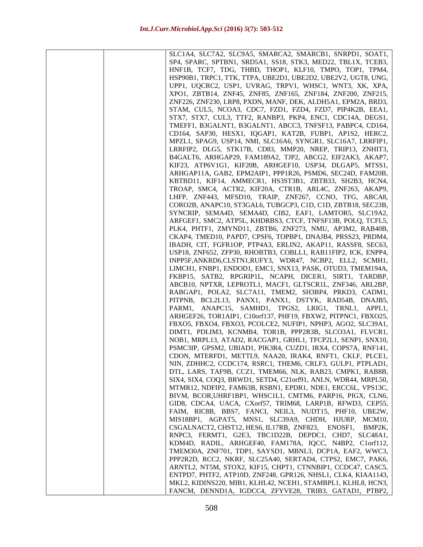| SLC1A4, SLC7A2, SLC9A5, SMARCA2, SMARCB1, SNRPD1, SOAT1,                                                       |
|----------------------------------------------------------------------------------------------------------------|
| SP4, SPARC, SPTBN1, SRD5A1, SS18, STK3, MED22, TBL1X, TCEB3,                                                   |
| HNF1B, TCF7, TDG, THBD, THOP1, KLF10, TMPO, TOP1, TPM4,                                                        |
| HSP90B1, TRPC1, TTK, TTPA, UBE2D1, UBE2D2, UBE2V2, UGT8, UNG,                                                  |
| UPP1, UQCRC2, USP1, UVRAG, TRPV1, WHSC1, WNT3, XK, XPA,                                                        |
| XPO1, ZBTB14, ZNF45, ZNF85, ZNF165, ZNF184, ZNF200, ZNF215,                                                    |
| ZNF226, ZNF230, LRP8, PXDN, MANF, DEK, ALDH5A1, EPM2A, BRD3,                                                   |
| STAM, CUL5, NCOA3, CDC7, FZD1, FZD4, FZD7, PIP4K2B, EEA1,                                                      |
| STX7, STX7, CUL3, TTF2, RANBP3, PKP4, ENC1, CDC14A, DEGS1,                                                     |
| TMEFF1, B3GALNT1, B3GALNT1, ABCC3, TNFSF13, PABPC4, CD164,                                                     |
| CD164, SAP30, HESX1, IQGAP1, KAT2B, FUBP1, AP1S2, HERC2,                                                       |
| MPZL1, SPAG9, USP14, NMI, SLC16A6, SYNGR1, SLC16A7, LRRFIP1,                                                   |
| LRRFIP2, DLG5, STK17B, CD83, MMP20, NREP, TRIP13, ZNHIT3,                                                      |
| B4GALT6, ARHGAP29, FAM189A2, TJP2, ABCG2, EIF2AK3, AKAP7,                                                      |
| KIF23, ATP6V1G1, KIF20B, ARHGEF10, USP34, DLGAP5, MTSS1,                                                       |
| ARHGAP11A, GAB2, EPM2AIP1, PPP1R26, PSMD6, SEC24D, FAM20B,                                                     |
| KBTBD11, KIF14, AMMECR1, HS3ST3B1, ZBTB33, SH2B3, HCN4,                                                        |
| TROAP, SMC4, ACTR2, KIF20A, CTR1B, ARL4C, ZNF263, AKAP9,                                                       |
| LHFP, ZNF443, MFSD10, TRAIP, ZNF267, CCNO, TFG, ABCA8,                                                         |
| CORO2B, ANAPC10, ST3GAL6, TUBGCP3, C1D, C1D, ZBTB18, SEC23B,                                                   |
| SYNCRIP, SEMA4D, SEMA4D, CIB2, EAF1, LAMTOR5, SLC19A2,                                                         |
| ARFGEF1, SMC2, ATP5L, KHDRBS3, CTCF, TNFSF13B, POLQ, TCFL5,                                                    |
| PLK4, PHTF1, ZMYND11, ZBTB6, ZNF273, NMU, AP3M2, RAB40B,                                                       |
| CKAP4, TMED10, PAPD7, CPSF6, TOPBP1, DNAJB4, PRSS23, PRDM4,                                                    |
| IBADH, CIT, FGFR1OP, PTP4A3, ERLIN2, AKAP11, RASSF8, SEC63,                                                    |
| USP18, ZNF652, ZFP30, RHOBTB3, COBLL1, RAB11FIP2, ICK, ENPP4,                                                  |
| INPP5F, ANKRD6, CLSTN1, RUFY3, WDR47, NCBP2, ELL2, SCMH1,                                                      |
| LIMCH1, FNBP1, ENDOD1, EMC1, SNX13, PASK, OTUD3, TMEM194A,                                                     |
| FKBP15, SATB2, RPGRIP1L, NCAPH, DICER1, SIRT1, TARDBP,                                                         |
| ABCB10, NPTXR, LEPROTL1, MACF1, GLTSCR1L, ZNF346, ARL2BP,                                                      |
| RABGAP1, POLA2, SLC7A11, TMEM2, SH3BP4, PRKD3, CADM1,<br>PITPNB, BCL2L13, PANX1, PANX1, DSTYK, RAD54B, DNAJB5, |
| PARM1, ANAPC15, SAMHD1, TPGS2, LRIG1, TRNL1, APPL1,                                                            |
| ARHGEF26, TOR1AIP1, C10orf137, PHF19, FBXW2, PITPNC1, FBXO25,                                                  |
| FBXO5, FBXO4, FBXO3, PCOLCE2, NUFIP1, NPHP3, AGO2, SLC39A1,                                                    |
| DIMT1, PDLIM3, KCNMB4, TOR1B, PPP2R3B, SLCO3A1, FLVCR1,                                                        |
| NOB1, MRPL13, ATAD2, RACGAP1, GRHL1, TFCP2L1, SENP1, SNX10,                                                    |
| PSMC3IP, GPSM2, UBIAD1, PIK3R4, CUZD1, IRX4, COPS7A, RNF141,                                                   |
| CDON, MTERFD1, METTL9, NAA20, IRAK4, RNFT1, CKLF, PLCE1,                                                       |
| NIN, ZDHHC2, CCDC174, RSRC1, THEM6, CRLF3, GULP1, PTPLAD1,                                                     |
| DTL, LARS, TAF9B, CCZ1, TMEM66, NLK, RAB23, CMPK1, RAB8B,                                                      |
| SIX4, SIX4, COQ3, BRWD1, SETD4, C21orf91, ANLN, WDR44, MRPL50,                                                 |
| MTMR12, NDFIP2, FAM63B, RSBN1, EPDR1, NDE1, ERCC6L, VPS13C,                                                    |
| BIVM, BCOR, UHRF1BP1, WHSC1L1, CMTM6, PARP16, PIGX, CLN6,                                                      |
| GID8, CDCA4, UACA, CXorf57, TRIM68, LARP1B, RFWD3, CEP55,                                                      |
| FAIM, RIC8B, BBS7, FANCI, NEIL3, NUDT15, PHF10, UBE2W,                                                         |
| MIS18BP1, AGPAT5, MNS1, SLC39A9, CHDH, HJURP,<br>MCM <sub>10</sub>                                             |
| CSGALNACT2, CHST12, HES6, IL17RB, ZNF823,<br>ENOSF1.<br>BMP2K,                                                 |
| RNPC3, FERMT1, G2E3, TBC1D22B, DEPDC1, CHD7,<br>SLC <sub>48</sub> A <sub>1</sub>                               |
| KDM4D, RADIL, ARHGEF40, FAM178A, IQCC, N4BP2, C1orf112,                                                        |
| TMEM30A, ZNF701, TDP1, SAYSD1, MBNL3, DCP1A, EAF2, WWC3,                                                       |
| PPP2R2D, RCC2, NKRF, SLC25A40, SERTAD4, CTPS2, EMC7, PAK6,                                                     |
| ARNTL2, NT5M, STOX2, KIF15, CHPT1, CTNNBIP1, CCDC47, CASC5,                                                    |
| ENTPD7, PHTF2, ATP10D, ZNF248, GPR126, NHSL1, CLK4, KIAA1143,                                                  |
| MKL2, KIDINS220, MIB1, KLHL42, NCEH1, STAMBPL1, KLHL8, HCN3,                                                   |
| FANCM, DENND1A, IGDCC4, ZFYVE28, TRIB3, GATAD1, PTBP2,                                                         |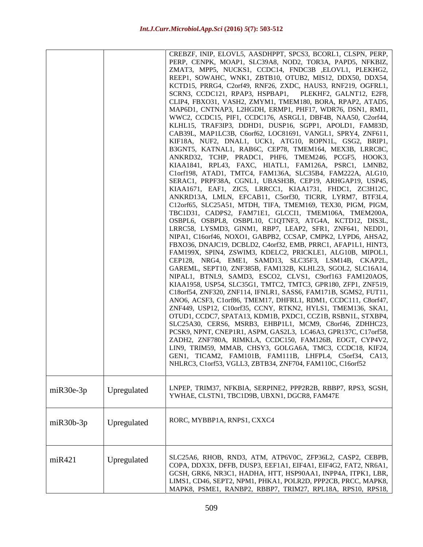|              |             | CREBZF, INIP, ELOVL5, AASDHPPT, SPCS3, BCORL1, CLSPN, PERP,<br>PERP, CENPK, MOAP1, SLC39A8, NOD2, TOR3A, PAPD5, NFKBIZ,<br>ZMAT3, MPP5, NUCKS1, CCDC14, FNDC3B ,ELOVL1, PLEKHG2,<br>REEP1, SOWAHC, WNK1, ZBTB10, OTUB2, MIS12, DDX50, DDX54,<br>KCTD15, PRRG4, C2orf49, RNF26, ZXDC, HAUS3, RNF219, OGFRL1,<br>SCRN3, CCDC121, RPAP3, HSPBAP1, PLEKHF2, GALNT12, E2F8,<br>CLIP4, FBXO31, VASH2, ZMYM1, TMEM180, BORA, RPAP2, ATAD5,<br>MAP6D1, CNTNAP3, L2HGDH, ERMP1, PHF17, WDR76, DSN1, RMI1,<br>WWC2, CCDC15, PIF1, CCDC176, ASRGL1, DBF4B, NAA50, C2orf44,<br>KLHL15, TRAF3IP3, DDHD1, DUSP16, SGPP1, APOLD1, FAM83D,<br>CAB39L, MAP1LC3B, C6orf62, LOC81691, VANGL1, SPRY4, ZNF611,<br>KIF18A, NUF2, DNAL1, UCK1, ATG10, ROPN1L, GSG2, BRIP1,<br>B3GNT5, KATNAL1, RAB6C, CEP78, TMEM164, MEX3B, LRRC8C,<br>ANKRD32, TCHP, PRADC1, PHF6, TMEM246, PCGF5, HOOK3,<br>KIAA1841, RPL43, FAXC, HIATL1, FAM126A, PSRC1, LMNB2,<br>Clorf198, ATAD1, TMTC4, FAM136A, SLC35B4, FAM222A, ALG10,<br>SERAC1, PRPF38A, CGNL1, UBASH3B, CEP19, ARHGAP19, USP45,<br>KIAA1671, EAF1, ZIC5, LRRCC1, KIAA1731, FHDC1, ZC3H12C,<br>ANKRD13A, LMLN, EFCAB11, C5orf30, TICRR, LYRM7, BTF3L4,<br>C12orf65, SLC25A51, MTDH, TIFA, TMEM169, TEX30, PIGM, PIGM,<br>TBC1D31, CADPS2, FAM71E1, GLCCI1, TMEM106A, TMEM200A,<br>OSBPL6, OSBPL8, OSBPL10, C1QTNF3, ATG4A, KCTD12, DIS3L,<br>LRRC58, LYSMD3, GINM1, RBP7, LEAP2, SFR1, ZNF641, NEDD1,<br>NIPA1, C16orf46, NOXO1, GABPB2, CCSAP, CMPK2, LYPD6, AHSA2,<br>FBXO36, DNAJC19, DCBLD2, C4orf32, EMB, PRRC1, AFAP1L1, HINT3,<br>FAM199X, SPIN4, ZSWIM3, KDELC2, PRICKLE1, ALG10B, MIPOL1,<br>CEP128, NRG4, EME1, SAMD13, SLC35F3, LSM14B, CKAP2L,<br>GAREML, SEPT10, ZNF385B, FAM132B, KLHL23, SGOL2, SLC16A14,<br>NIPAL1, BTNL9, SAMD3, ESCO2, CLVS1, C9orf163 FAM120AOS,<br>KIAA1958, USP54, SLC35G1, TMTC2, TMTC3, GPR180, ZFP1, ZNF519,<br>C18orf54, ZNF320, ZNF114, IFNLR1, SASS6, FAM171B, SGMS2, FUT11,<br>ANO6, ACSF3, C1orf86, TMEM17, DHFRL1, RDM1, CCDC111, C8orf47,<br>ZNF449, USP12, C10orf35, CCNY, RTKN2, HYLS1, TMEM136, SKA1,<br>OTUD1, CCDC7, SPATA13, KDM1B, PXDC1, CCZ1B, RSBN1L, STXBP4,<br>SLC25A30, CERS6, MSRB3, EHBP1L1, MCM9, C8orf46, ZDHHC23,<br>PCSK9, NPNT, CNEP1R1, ASPM, GAS2L3, LC46A3, GPR137C, C17orf58,<br>ZADH2, ZNF780A, RIMKLA, CCDC150, FAM126B, EOGT, CYP4V2,<br>LIN9, TRIM59, MMAB, CHSY3, GOLGA6A, TMC3, CCDC18, KIF24,<br>GEN1, TICAM2, FAM101B, FAM111B, LHFPL4, C5orf34, CA13,<br>NHLRC3, C1orf53, VGLL3, ZBTB34, ZNF704, FAM110C, C16orf52 |
|--------------|-------------|--------------------------------------------------------------------------------------------------------------------------------------------------------------------------------------------------------------------------------------------------------------------------------------------------------------------------------------------------------------------------------------------------------------------------------------------------------------------------------------------------------------------------------------------------------------------------------------------------------------------------------------------------------------------------------------------------------------------------------------------------------------------------------------------------------------------------------------------------------------------------------------------------------------------------------------------------------------------------------------------------------------------------------------------------------------------------------------------------------------------------------------------------------------------------------------------------------------------------------------------------------------------------------------------------------------------------------------------------------------------------------------------------------------------------------------------------------------------------------------------------------------------------------------------------------------------------------------------------------------------------------------------------------------------------------------------------------------------------------------------------------------------------------------------------------------------------------------------------------------------------------------------------------------------------------------------------------------------------------------------------------------------------------------------------------------------------------------------------------------------------------------------------------------------------------------------------------------------------------------------------------------------------------------------------------------------------------------------------------------------------------------------------------------------------------------------------------------------------------------------------------------------------|
| $miR30e-3p$  | Upregulated | LNPEP, TRIM37, NFKBIA, SERPINE2, PPP2R2B, RBBP7, RPS3, SGSH,                                                                                                                                                                                                                                                                                                                                                                                                                                                                                                                                                                                                                                                                                                                                                                                                                                                                                                                                                                                                                                                                                                                                                                                                                                                                                                                                                                                                                                                                                                                                                                                                                                                                                                                                                                                                                                                                                                                                                                                                                                                                                                                                                                                                                                                                                                                                                                                                                                                             |
|              |             | YWHAE, CLSTN1, TBC1D9B, UBXN1, DGCR8, FAM47E                                                                                                                                                                                                                                                                                                                                                                                                                                                                                                                                                                                                                                                                                                                                                                                                                                                                                                                                                                                                                                                                                                                                                                                                                                                                                                                                                                                                                                                                                                                                                                                                                                                                                                                                                                                                                                                                                                                                                                                                                                                                                                                                                                                                                                                                                                                                                                                                                                                                             |
| $m$ iR30b-3p | Upregulated | RORC, MYBBP1A, RNPS1, CXXC4                                                                                                                                                                                                                                                                                                                                                                                                                                                                                                                                                                                                                                                                                                                                                                                                                                                                                                                                                                                                                                                                                                                                                                                                                                                                                                                                                                                                                                                                                                                                                                                                                                                                                                                                                                                                                                                                                                                                                                                                                                                                                                                                                                                                                                                                                                                                                                                                                                                                                              |
| miR421       | Upregulated | SLC25A6, RHOB, RND3, ATM, ATP6V0C, ZFP36L2, CASP2, CEBPB,<br>COPA, DDX3X, DFFB, DUSP3, EEF1A1, EIF4A1, EIF4G2, FAT2, NR6A1,<br>GCSH, GRK6, NR3C1, HADHA, HTT, HSP90AA1, INPP4A, ITPK1, LBR,<br>LIMS1, CD46, SEPT2, NPM1, PHKA1, POLR2D, PPP2CB, PRCC, MAPK8,<br>MAPK8, PSME1, RANBP2, RBBP7, TRIM27, RPL18A, RPS10, RPS18,                                                                                                                                                                                                                                                                                                                                                                                                                                                                                                                                                                                                                                                                                                                                                                                                                                                                                                                                                                                                                                                                                                                                                                                                                                                                                                                                                                                                                                                                                                                                                                                                                                                                                                                                                                                                                                                                                                                                                                                                                                                                                                                                                                                               |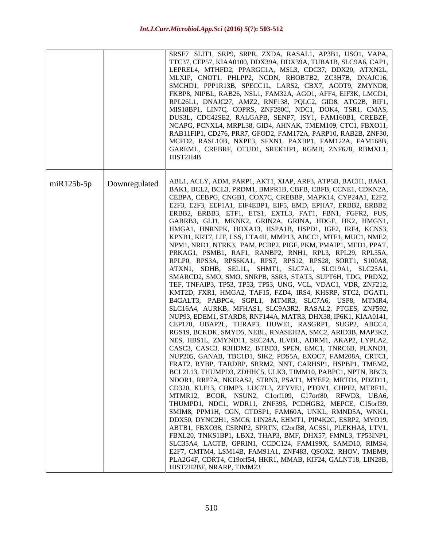|             |               | SRSF7 SLIT1, SRP9, SRPR, ZXDA, RASAL1, AP3B1, USO1, VAPA,<br>TTC37, CEP57, KIAA0100, DDX39A, DDX39A, TUBA1B, SLC9A6, CAP1,<br>LEPREL4, MTHFD2, PPARGC1A, MSL3, CDC37, DDX20, ATXN2L,<br>MLXIP, CNOT1, PHLPP2, NCDN, RHOBTB2, ZC3H7B, DNAJC16,<br>SMCHD1, PPP1R13B, SPECC1L, LARS2, CBX7, ACOT9, ZMYND8,<br>FKBP8, NIPBL, RAB26, NSL1, FAM32A, AGO1, AFF4, EIF3K, LMCD1,<br>RPL26L1, DNAJC27, AMZ2, RNF138, PQLC2, GID8, ATG2B, RIF1,<br>MIS18BP1, LIN7C, COPRS, ZNF280C, NDC1, DOK4, TSR1, CMAS,<br>DUS3L, CDC42SE2, RALGAPB, SENP7, ISY1, FAM160B1, CREBZF,<br>NCAPG, PCNXL4, MRPL38, GID4, AHNAK, TMEM109, CTC1, FBXO11,<br>RAB11FIP1, CD276, PRR7, GFOD2, FAM172A, PARP10, RAB2B, ZNF30,<br>MCFD2, RASL10B, NXPE3, SFXN1, PAXBP1, FAM122A, FAM168B,<br>GAREML, CREBRF, OTUD1, SREK1IP1, RGMB, ZNF678, RBMXL1,<br>HIST2H4B                                                                                                                                                                                                                                                                                                                                                                                                                                                                                                                                                                                                                                                                                                                                                                                                                                                                                                                                                                                                                                                                                                                                                                                                                                                                                                                                                                                                                                                                                           |
|-------------|---------------|------------------------------------------------------------------------------------------------------------------------------------------------------------------------------------------------------------------------------------------------------------------------------------------------------------------------------------------------------------------------------------------------------------------------------------------------------------------------------------------------------------------------------------------------------------------------------------------------------------------------------------------------------------------------------------------------------------------------------------------------------------------------------------------------------------------------------------------------------------------------------------------------------------------------------------------------------------------------------------------------------------------------------------------------------------------------------------------------------------------------------------------------------------------------------------------------------------------------------------------------------------------------------------------------------------------------------------------------------------------------------------------------------------------------------------------------------------------------------------------------------------------------------------------------------------------------------------------------------------------------------------------------------------------------------------------------------------------------------------------------------------------------------------------------------------------------------------------------------------------------------------------------------------------------------------------------------------------------------------------------------------------------------------------------------------------------------------------------------------------------------------------------------------------------------------------------------------------------------------------------------------------------------------------------------------------------|
| $mR125b-5p$ | Downregulated | ABL1, ACLY, ADM, PARP1, AKT1, XIAP, ARF3, ATP5B, BACH1, BAK1,<br>BAK1, BCL2, BCL3, PRDM1, BMPR1B, CBFB, CBFB, CCNE1, CDKN2A,<br>CEBPA, CEBPG, CNGB1, COX7C, CREBBP, MAPK14, CYP24A1, E2F2,<br>E2F3, E2F3, EEF1A1, EIF4EBP1, EIF5, EMD, EPHA7, ERBB2, ERBB2,<br>ERBB2, ERBB3, ETF1, ETS1, EXTL3, FAT1, FBN1, FGFR2, FUS,<br>GABRB3, GLI1, MKNK2, GRIN2A, GRINA, HDGF, HK2, HMGN1,<br>HMGA1, HNRNPK, HOXA13, HSPA1B, HSPD1, IGF2, IRF4, KCNS3,<br>KPNB1, KRT7, LIF, LSS, LTA4H, MMP13, ABCC1, MTF1, MUC1, NME2,<br>NPM1, NRD1, NTRK3, PAM, PCBP2, PIGF, PKM, PMAIP1, MED1, PPAT,<br>PRKAG1, PSMB1, RAF1, RANBP2, RNH1, RPL3, RPL29, RPL35A,<br>RPLP0, RPS3A, RPS6KA1, RPS7, RPS12, RPS28, SORT1, S100A8,<br>ATXN1, SDHB, SEL1L, SHMT1, SLC7A1, SLC19A1, SLC25A1,<br>SMARCD2, SMO, SMO, SNRPB, SSR3, STAT3, SUPT6H, TDG, PRDX2,<br>TEF, TNFAIP3, TP53, TP53, TP53, UNG, VCL, VDAC1, VDR, ZNF212,<br>KMT2D, FXR1, HMGA2, TAF15, FZD4, IRS4, KHSRP, STC2, DGAT1,<br>B4GALT3, PABPC4, SGPL1, MTMR3, SLC7A6, USP8, MTMR4,<br>SLC16A4, AURKB, MFHAS1, SLC9A3R2, RASAL2, PTGES, ZNF592,<br>NUP93, EDEM1, STARD8, RNF144A, MATR3, DHX38, IP6K1, KIAA0141,<br>CEP170, UBAP2L, THRAP3, HUWE1, RASGRP1, SUGP2, ABCC4,<br>RGS19, BCKDK, SMYD5, NEBL, RNASEH2A, SMC2, ARID3B, MAP3K2,<br>NES, HBS1L, ZMYND11, SEC24A, ILVBL, ADRM1, AKAP2, LYPLA2,<br>CASC3, CASC3, R3HDM2, BTBD3, SPEN, EMC1, TNRC6B, PLXND1,<br>NUP205, GANAB, TBC1D1, SIK2, PDS5A, EXOC7, FAM208A, CRTC1,<br>FRAT2, RYBP, TARDBP, SRRM2, NNT, CARHSP1, HSPBP1, TMEM2,<br>BCL2L13, THUMPD3, ZDHHC5, ULK3, TIMM10, PABPC1, NPTN, BBC3,<br>NDOR1, RRP7A, NKIRAS2, STRN3, PSAT1, MYEF2, MRTO4, PDZD11,<br>CD320, KLF13, CHMP3, LUC7L3, ZFYVE1, PTOV1, CHPF2, MTRF1L,<br>MTMR12, BCOR, NSUN2, C1orf109, C17orf80, RFWD3, UBA6,<br>THUMPD1, NDC1, WDR11, ZNF395, PCDHGB2, MEPCE, C15orf39,<br>SMIM8, PPM1H, CGN, CTDSP1, FAM60A, UNKL, RMND5A, WNK1,<br>DDX50, DYNC2H1, SMC6, LIN28A, EHMT1, PIP4K2C, ESRP2, MYO19,<br>ABTB1, FBXO38, CSRNP2, SPRTN, C2orf88, ACSS1, PLEKHA8, LTV1,<br>FBXL20, TNKS1BP1, LBX2, THAP3, BMF, DHX57, FMNL3, TP53INP1,<br>SLC35A4, LACTB, GPRIN1, CCDC124, FAM199X, SAMD10, RIMS4,<br>E2F7, CMTM4, LSM14B, FAM91A1, ZNF483, QSOX2, RHOV, TMEM9,<br>PLA2G4F, CDRT4, C19orf54, HKR1, MMAB, KIF24, GALNT18, LIN28B,<br>HIST2H2BF, NRARP, TIMM23 |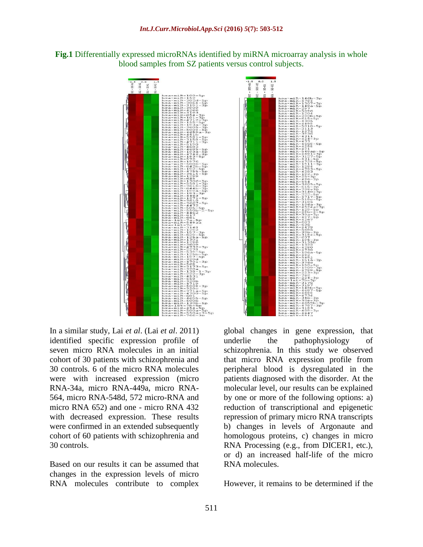



In a similar study, Lai *et al*. (Lai *et al*. 2011) identified specific expression profile of seven micro RNA molecules in an initial cohort of 30 patients with schizophrenia and 30 controls. 6 of the micro RNA molecules were with increased expression (micro RNA-34a, micro RNA-449a, micro RNA-564, micro RNA-548d, 572 micro-RNA and micro RNA 652) and one - micro RNA 432 with decreased expression. These results were confirmed in an extended subsequently cohort of 60 patients with schizophrenia and 30 controls.

Based on our results it can be assumed that changes in the expression levels of micro RNA molecules contribute to complex

global changes in gene expression, that underlie the pathophysiology of schizophrenia. In this study we observed that micro RNA expression profile from peripheral blood is dysregulated in the patients diagnosed with the disorder. At the molecular level, our results can be explained by one or more of the following options: a) reduction of transcriptional and epigenetic repression of primary micro RNA transcripts b) changes in levels of Argonaute and homologous proteins, c) changes in micro RNA Processing (e.g., from DICER1, etc.), or d) an increased half-life of the micro RNA molecules.

-4784<br>-1307-3p<br>-148a-5p

 $\frac{5}{5}$ p

 $5p$ зp 3<br>68–5p<br>58

sp<br>3p

 $\frac{4}{3}$  – 5 p

 $\overline{3}p$ eg<br>Sp

 $\frac{5}{5}$ p

3185<br>10624-3p<br>10624-3p<br>129-5p<br>129b-2-5p<br>304-3p<br>497-5p<br>497-5p

 $^{6-3p}_{6-4p}$  $\frac{-3p}{5b}$ 

> $-5p$ ;ี่ 1<br>La−3p

 $\frac{1}{2}$ 

 $\overline{3}$  to

However, it remains to be determined if the